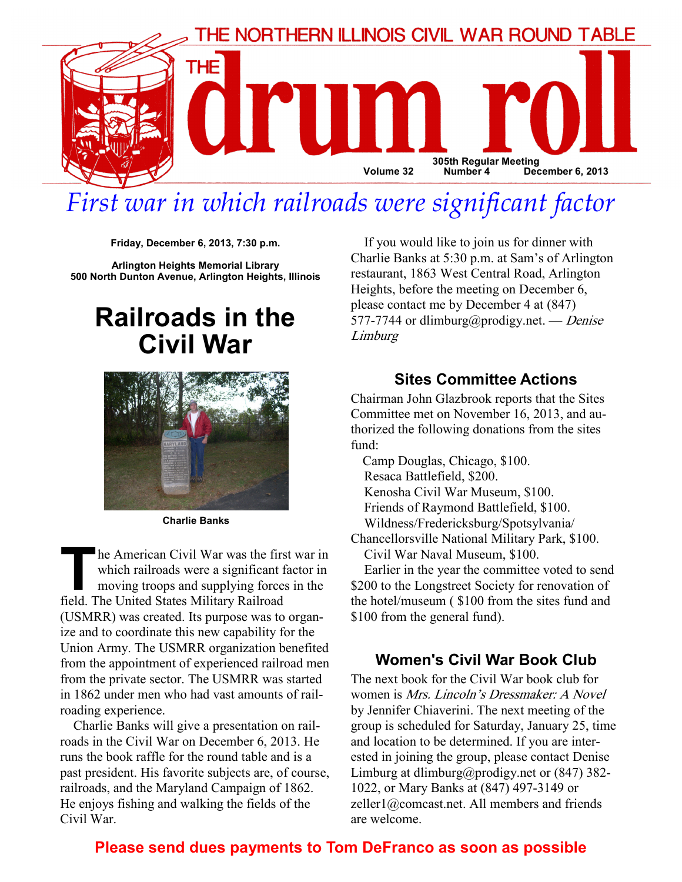

# First war in which railroads were significant factor

Friday, December 6, 2013, 7:30 p.m.

Arlington Heights Memorial Library 500 North Dunton Avenue, Arlington Heights, Illinois

## Railroads in the Civil War



Charlie Banks

The American Civil War was the first war in<br>which railroads were a significant factor in<br>moving troops and supplying forces in the<br>field. The United States Military Railroad which railroads were a significant factor in moving troops and supplying forces in the field. The United States Military Railroad (USMRR) was created. Its purpose was to organize and to coordinate this new capability for the Union Army. The USMRR organization benefited from the appointment of experienced railroad men from the private sector. The USMRR was started in 1862 under men who had vast amounts of railroading experience.

Charlie Banks will give a presentation on railroads in the Civil War on December 6, 2013. He runs the book raffle for the round table and is a past president. His favorite subjects are, of course, railroads, and the Maryland Campaign of 1862. He enjoys fishing and walking the fields of the Civil War.

If you would like to join us for dinner with Charlie Banks at 5:30 p.m. at Sam's of Arlington restaurant, 1863 West Central Road, Arlington Heights, before the meeting on December 6, please contact me by December 4 at (847) 577-7744 or dlimburg@prodigy.net. — Denise Limburg

#### Sites Committee Actions

Chairman John Glazbrook reports that the Sites Committee met on November 16, 2013, and authorized the following donations from the sites fund:

 Camp Douglas, Chicago, \$100. Resaca Battlefield, \$200. Kenosha Civil War Museum, \$100. Friends of Raymond Battlefield, \$100. Wildness/Fredericksburg/Spotsylvania/ Chancellorsville National Military Park, \$100. Civil War Naval Museum, \$100.

Earlier in the year the committee voted to send \$200 to the Longstreet Society for renovation of the hotel/museum ( \$100 from the sites fund and \$100 from the general fund).

#### Women's Civil War Book Club

The next book for the Civil War book club for women is Mrs. Lincoln's Dressmaker: A Novel by Jennifer Chiaverini. The next meeting of the group is scheduled for Saturday, January 25, time and location to be determined. If you are interested in joining the group, please contact Denise Limburg at dlimburg@prodigy.net or (847) 382-1022, or Mary Banks at (847) 497-3149 or zeller1@comcast.net. All members and friends are welcome.

#### Please send dues payments to Tom DeFranco as soon as possible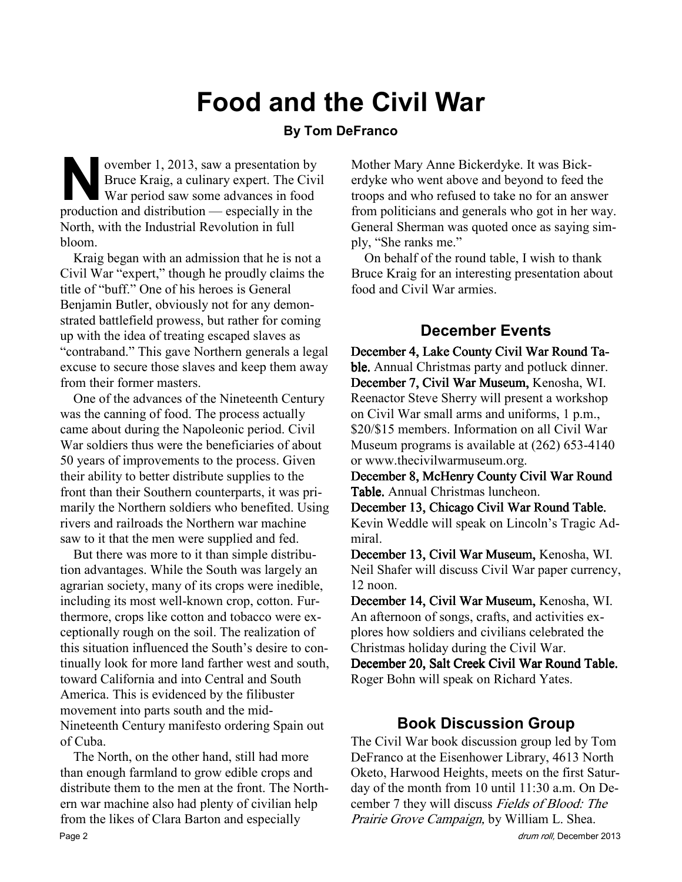# Food and the Civil War

#### By Tom DeFranco

N ovember 1, 2013, saw a presentation by<br>Bruce Kraig, a culinary expert. The Civi<br>War period saw some advances in food<br>production and distribution — especially in the Bruce Kraig, a culinary expert. The Civil War period saw some advances in food production and distribution — especially in the North, with the Industrial Revolution in full bloom.

Kraig began with an admission that he is not a Civil War "expert," though he proudly claims the title of "buff." One of his heroes is General Benjamin Butler, obviously not for any demonstrated battlefield prowess, but rather for coming up with the idea of treating escaped slaves as "contraband." This gave Northern generals a legal excuse to secure those slaves and keep them away from their former masters.

One of the advances of the Nineteenth Century was the canning of food. The process actually came about during the Napoleonic period. Civil War soldiers thus were the beneficiaries of about 50 years of improvements to the process. Given their ability to better distribute supplies to the front than their Southern counterparts, it was primarily the Northern soldiers who benefited. Using rivers and railroads the Northern war machine saw to it that the men were supplied and fed.

But there was more to it than simple distribution advantages. While the South was largely an agrarian society, many of its crops were inedible, including its most well-known crop, cotton. Furthermore, crops like cotton and tobacco were exceptionally rough on the soil. The realization of this situation influenced the South's desire to continually look for more land farther west and south, toward California and into Central and South America. This is evidenced by the filibuster movement into parts south and the mid-Nineteenth Century manifesto ordering Spain out of Cuba.

The North, on the other hand, still had more than enough farmland to grow edible crops and distribute them to the men at the front. The Northern war machine also had plenty of civilian help from the likes of Clara Barton and especially Page 2 drum roll, December 2013

Mother Mary Anne Bickerdyke. It was Bickerdyke who went above and beyond to feed the troops and who refused to take no for an answer from politicians and generals who got in her way. General Sherman was quoted once as saying simply, "She ranks me."

On behalf of the round table, I wish to thank Bruce Kraig for an interesting presentation about food and Civil War armies.

### December Events

December 4, Lake County Civil War Round Table. Annual Christmas party and potluck dinner. December 7, Civil War Museum, Kenosha, WI. Reenactor Steve Sherry will present a workshop on Civil War small arms and uniforms, 1 p.m., \$20/\$15 members. Information on all Civil War Museum programs is available at (262) 653-4140 or www.thecivilwarmuseum.org.

December 8, McHenry County Civil War Round Table. Annual Christmas luncheon.

December 13, Chicago Civil War Round Table. Kevin Weddle will speak on Lincoln's Tragic Admiral.

December 13, Civil War Museum, Kenosha, WI. Neil Shafer will discuss Civil War paper currency, 12 noon.

December 14, Civil War Museum, Kenosha, WI. An afternoon of songs, crafts, and activities explores how soldiers and civilians celebrated the Christmas holiday during the Civil War.

December 20, Salt Creek Civil War Round Table. Roger Bohn will speak on Richard Yates.

#### Book Discussion Group

The Civil War book discussion group led by Tom DeFranco at the Eisenhower Library, 4613 North Oketo, Harwood Heights, meets on the first Saturday of the month from 10 until 11:30 a.m. On December 7 they will discuss Fields of Blood: The Prairie Grove Campaign, by William L. Shea.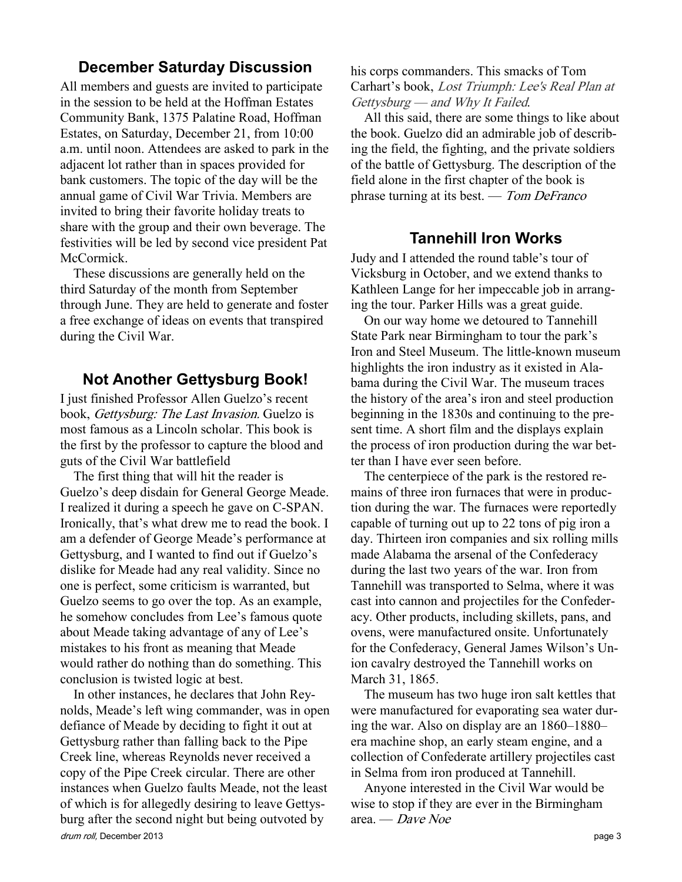#### December Saturday Discussion

All members and guests are invited to participate in the session to be held at the Hoffman Estates Community Bank, 1375 Palatine Road, Hoffman Estates, on Saturday, December 21, from 10:00 a.m. until noon. Attendees are asked to park in the adjacent lot rather than in spaces provided for bank customers. The topic of the day will be the annual game of Civil War Trivia. Members are invited to bring their favorite holiday treats to share with the group and their own beverage. The festivities will be led by second vice president Pat McCormick.

These discussions are generally held on the third Saturday of the month from September through June. They are held to generate and foster a free exchange of ideas on events that transpired during the Civil War.

#### Not Another Gettysburg Book!

I just finished Professor Allen Guelzo's recent book, Gettysburg: The Last Invasion. Guelzo is most famous as a Lincoln scholar. This book is the first by the professor to capture the blood and guts of the Civil War battlefield

The first thing that will hit the reader is Guelzo's deep disdain for General George Meade. I realized it during a speech he gave on C-SPAN. Ironically, that's what drew me to read the book. I am a defender of George Meade's performance at Gettysburg, and I wanted to find out if Guelzo's dislike for Meade had any real validity. Since no one is perfect, some criticism is warranted, but Guelzo seems to go over the top. As an example, he somehow concludes from Lee's famous quote about Meade taking advantage of any of Lee's mistakes to his front as meaning that Meade would rather do nothing than do something. This conclusion is twisted logic at best.

drum roll, December 2013 **page 3** In other instances, he declares that John Reynolds, Meade's left wing commander, was in open defiance of Meade by deciding to fight it out at Gettysburg rather than falling back to the Pipe Creek line, whereas Reynolds never received a copy of the Pipe Creek circular. There are other instances when Guelzo faults Meade, not the least of which is for allegedly desiring to leave Gettysburg after the second night but being outvoted by

his corps commanders. This smacks of Tom Carhart's book, Lost Triumph: Lee's Real Plan at Gettysburg — and Why It Failed.

All this said, there are some things to like about the book. Guelzo did an admirable job of describing the field, the fighting, and the private soldiers of the battle of Gettysburg. The description of the field alone in the first chapter of the book is phrase turning at its best. — Tom DeFranco

#### Tannehill Iron Works

Judy and I attended the round table's tour of Vicksburg in October, and we extend thanks to Kathleen Lange for her impeccable job in arranging the tour. Parker Hills was a great guide.

On our way home we detoured to Tannehill State Park near Birmingham to tour the park's Iron and Steel Museum. The little-known museum highlights the iron industry as it existed in Alabama during the Civil War. The museum traces the history of the area's iron and steel production beginning in the 1830s and continuing to the present time. A short film and the displays explain the process of iron production during the war better than I have ever seen before.

The centerpiece of the park is the restored remains of three iron furnaces that were in production during the war. The furnaces were reportedly capable of turning out up to 22 tons of pig iron a day. Thirteen iron companies and six rolling mills made Alabama the arsenal of the Confederacy during the last two years of the war. Iron from Tannehill was transported to Selma, where it was cast into cannon and projectiles for the Confederacy. Other products, including skillets, pans, and ovens, were manufactured onsite. Unfortunately for the Confederacy, General James Wilson's Union cavalry destroyed the Tannehill works on March 31, 1865.

The museum has two huge iron salt kettles that were manufactured for evaporating sea water during the war. Also on display are an 1860–1880– era machine shop, an early steam engine, and a collection of Confederate artillery projectiles cast in Selma from iron produced at Tannehill.

Anyone interested in the Civil War would be wise to stop if they are ever in the Birmingham area. — Dave Noe